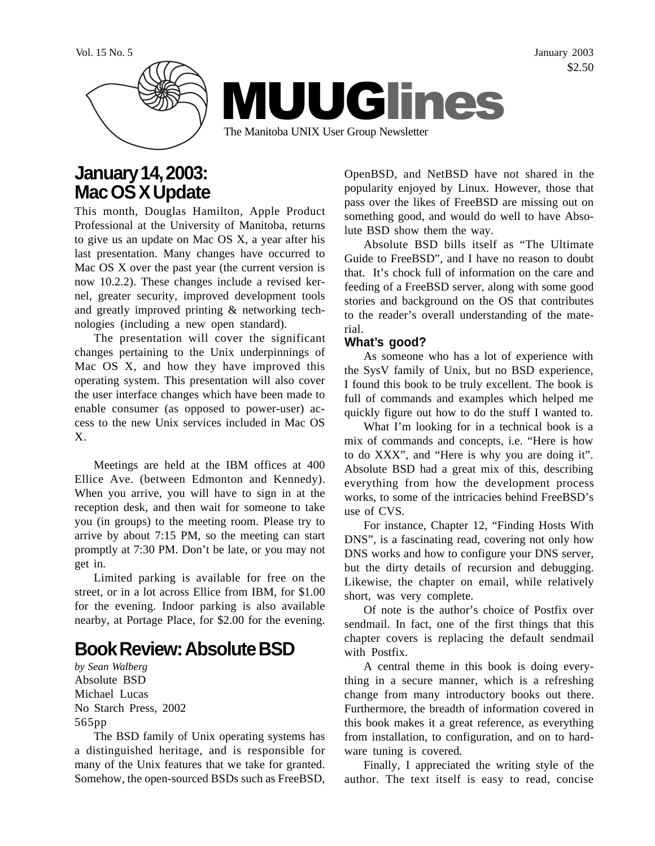Vol. 15 No. 5 January 2003 \$2.50



# **January 14, 2003: Mac OS X Update**

This month, Douglas Hamilton, Apple Product Professional at the University of Manitoba, returns to give us an update on Mac OS X, a year after his last presentation. Many changes have occurred to Mac OS X over the past year (the current version is now 10.2.2). These changes include a revised kernel, greater security, improved development tools and greatly improved printing & networking technologies (including a new open standard).

The presentation will cover the significant changes pertaining to the Unix underpinnings of Mac OS X, and how they have improved this operating system. This presentation will also cover the user interface changes which have been made to enable consumer (as opposed to power-user) access to the new Unix services included in Mac OS X.

Meetings are held at the IBM offices at 400 Ellice Ave. (between Edmonton and Kennedy). When you arrive, you will have to sign in at the reception desk, and then wait for someone to take you (in groups) to the meeting room. Please try to arrive by about 7:15 PM, so the meeting can start promptly at 7:30 PM. Don't be late, or you may not get in.

Limited parking is available for free on the street, or in a lot across Ellice from IBM, for \$1.00 for the evening. Indoor parking is also available nearby, at Portage Place, for \$2.00 for the evening.

# **Book Review: Absolute BSD**

*by Sean Walberg* Absolute BSD Michael Lucas No Starch Press, 2002 565pp

The BSD family of Unix operating systems has a distinguished heritage, and is responsible for many of the Unix features that we take for granted. Somehow, the open-sourced BSDs such as FreeBSD,

OpenBSD, and NetBSD have not shared in the popularity enjoyed by Linux. However, those that pass over the likes of FreeBSD are missing out on something good, and would do well to have Absolute BSD show them the way.

Absolute BSD bills itself as "The Ultimate Guide to FreeBSD", and I have no reason to doubt that. It's chock full of information on the care and feeding of a FreeBSD server, along with some good stories and background on the OS that contributes to the reader's overall understanding of the material.

#### **What's good?**

As someone who has a lot of experience with the SysV family of Unix, but no BSD experience, I found this book to be truly excellent. The book is full of commands and examples which helped me quickly figure out how to do the stuff I wanted to.

What I'm looking for in a technical book is a mix of commands and concepts, i.e. "Here is how to do XXX", and "Here is why you are doing it". Absolute BSD had a great mix of this, describing everything from how the development process works, to some of the intricacies behind FreeBSD's use of CVS.

For instance, Chapter 12, "Finding Hosts With DNS", is a fascinating read, covering not only how DNS works and how to configure your DNS server, but the dirty details of recursion and debugging. Likewise, the chapter on email, while relatively short, was very complete.

Of note is the author's choice of Postfix over sendmail. In fact, one of the first things that this chapter covers is replacing the default sendmail with Postfix.

A central theme in this book is doing everything in a secure manner, which is a refreshing change from many introductory books out there. Furthermore, the breadth of information covered in this book makes it a great reference, as everything from installation, to configuration, and on to hardware tuning is covered.

Finally, I appreciated the writing style of the author. The text itself is easy to read, concise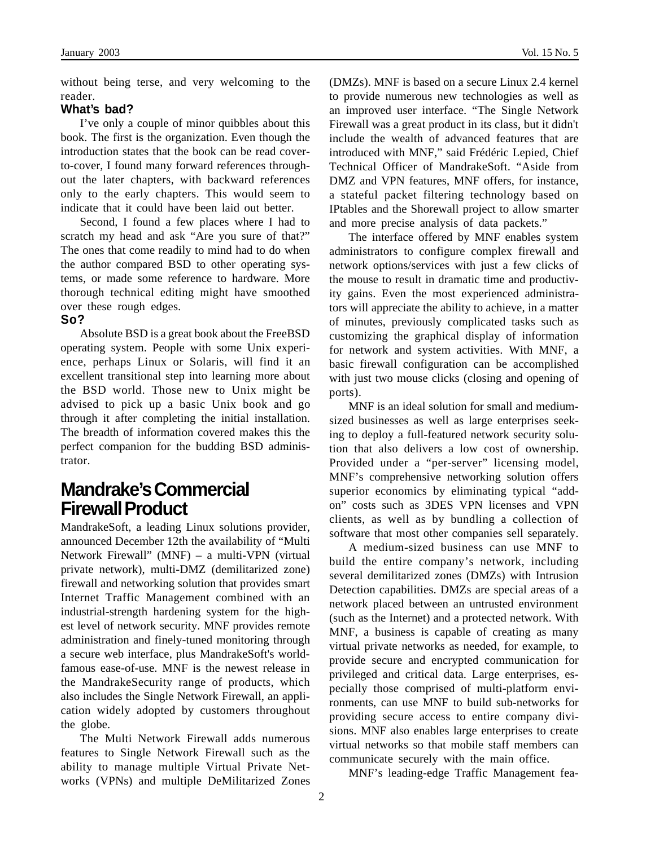without being terse, and very welcoming to the reader.

#### **What's bad?**

I've only a couple of minor quibbles about this book. The first is the organization. Even though the introduction states that the book can be read coverto-cover, I found many forward references throughout the later chapters, with backward references only to the early chapters. This would seem to indicate that it could have been laid out better.

Second, I found a few places where I had to scratch my head and ask "Are you sure of that?" The ones that come readily to mind had to do when the author compared BSD to other operating systems, or made some reference to hardware. More thorough technical editing might have smoothed over these rough edges.

#### **So?**

Absolute BSD is a great book about the FreeBSD operating system. People with some Unix experience, perhaps Linux or Solaris, will find it an excellent transitional step into learning more about the BSD world. Those new to Unix might be advised to pick up a basic Unix book and go through it after completing the initial installation. The breadth of information covered makes this the perfect companion for the budding BSD administrator.

### **Mandrake's Commercial Firewall Product**

MandrakeSoft, a leading Linux solutions provider, announced December 12th the availability of "Multi Network Firewall" (MNF) – a multi-VPN (virtual private network), multi-DMZ (demilitarized zone) firewall and networking solution that provides smart Internet Traffic Management combined with an industrial-strength hardening system for the highest level of network security. MNF provides remote administration and finely-tuned monitoring through a secure web interface, plus MandrakeSoft's worldfamous ease-of-use. MNF is the newest release in the MandrakeSecurity range of products, which also includes the Single Network Firewall, an application widely adopted by customers throughout the globe.

The Multi Network Firewall adds numerous features to Single Network Firewall such as the ability to manage multiple Virtual Private Networks (VPNs) and multiple DeMilitarized Zones

(DMZs). MNF is based on a secure Linux 2.4 kernel to provide numerous new technologies as well as an improved user interface. "The Single Network Firewall was a great product in its class, but it didn't include the wealth of advanced features that are introduced with MNF," said Frédéric Lepied, Chief Technical Officer of MandrakeSoft. "Aside from DMZ and VPN features, MNF offers, for instance, a stateful packet filtering technology based on IPtables and the Shorewall project to allow smarter and more precise analysis of data packets."

The interface offered by MNF enables system administrators to configure complex firewall and network options/services with just a few clicks of the mouse to result in dramatic time and productivity gains. Even the most experienced administrators will appreciate the ability to achieve, in a matter of minutes, previously complicated tasks such as customizing the graphical display of information for network and system activities. With MNF, a basic firewall configuration can be accomplished with just two mouse clicks (closing and opening of ports).

MNF is an ideal solution for small and mediumsized businesses as well as large enterprises seeking to deploy a full-featured network security solution that also delivers a low cost of ownership. Provided under a "per-server" licensing model, MNF's comprehensive networking solution offers superior economics by eliminating typical "addon" costs such as 3DES VPN licenses and VPN clients, as well as by bundling a collection of software that most other companies sell separately.

A medium-sized business can use MNF to build the entire company's network, including several demilitarized zones (DMZs) with Intrusion Detection capabilities. DMZs are special areas of a network placed between an untrusted environment (such as the Internet) and a protected network. With MNF, a business is capable of creating as many virtual private networks as needed, for example, to provide secure and encrypted communication for privileged and critical data. Large enterprises, especially those comprised of multi-platform environments, can use MNF to build sub-networks for providing secure access to entire company divisions. MNF also enables large enterprises to create virtual networks so that mobile staff members can communicate securely with the main office.

MNF's leading-edge Traffic Management fea-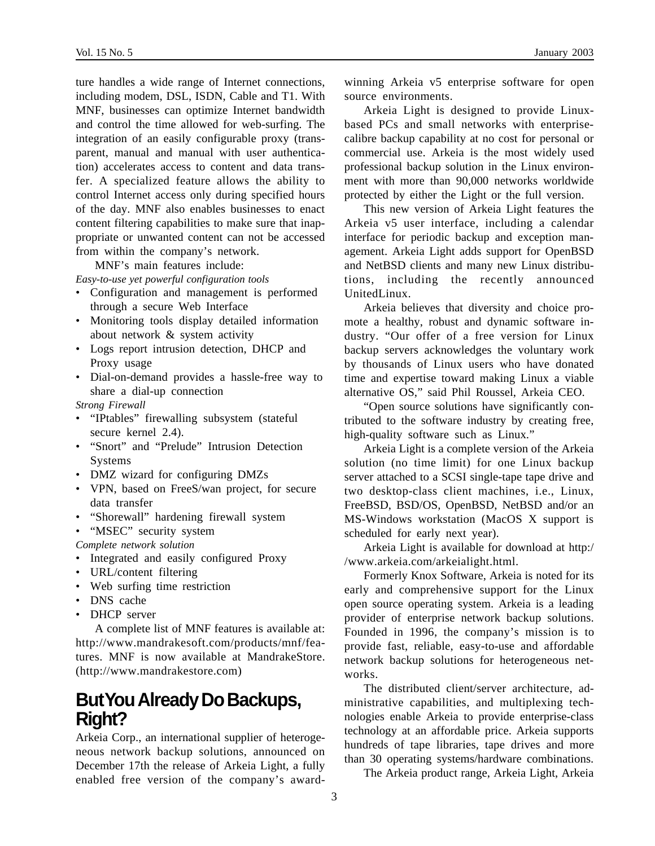ture handles a wide range of Internet connections, including modem, DSL, ISDN, Cable and T1. With MNF, businesses can optimize Internet bandwidth and control the time allowed for web-surfing. The integration of an easily configurable proxy (transparent, manual and manual with user authentication) accelerates access to content and data transfer. A specialized feature allows the ability to control Internet access only during specified hours of the day. MNF also enables businesses to enact content filtering capabilities to make sure that inappropriate or unwanted content can not be accessed from within the company's network.

MNF's main features include:

*Easy-to-use yet powerful configuration tools*

- Configuration and management is performed through a secure Web Interface
- Monitoring tools display detailed information about network & system activity
- Logs report intrusion detection, DHCP and Proxy usage
- Dial-on-demand provides a hassle-free way to share a dial-up connection
- *Strong Firewall*
- "IPtables" firewalling subsystem (stateful secure kernel 2.4).
- "Snort" and "Prelude" Intrusion Detection Systems
- DMZ wizard for configuring DMZs
- VPN, based on FreeS/wan project, for secure data transfer
- "Shorewall" hardening firewall system
- "MSEC" security system

*Complete network solution*

- Integrated and easily configured Proxy
- URL/content filtering
- Web surfing time restriction
- DNS cache
- DHCP server

A complete list of MNF features is available at: http://www.mandrakesoft.com/products/mnf/features. MNF is now available at MandrakeStore. (http://www.mandrakestore.com)

## **But You Already Do Backups, Right?**

Arkeia Corp., an international supplier of heterogeneous network backup solutions, announced on December 17th the release of Arkeia Light, a fully enabled free version of the company's awardwinning Arkeia v5 enterprise software for open source environments.

Arkeia Light is designed to provide Linuxbased PCs and small networks with enterprisecalibre backup capability at no cost for personal or commercial use. Arkeia is the most widely used professional backup solution in the Linux environment with more than 90,000 networks worldwide protected by either the Light or the full version.

This new version of Arkeia Light features the Arkeia v5 user interface, including a calendar interface for periodic backup and exception management. Arkeia Light adds support for OpenBSD and NetBSD clients and many new Linux distributions, including the recently announced UnitedLinux.

Arkeia believes that diversity and choice promote a healthy, robust and dynamic software industry. "Our offer of a free version for Linux backup servers acknowledges the voluntary work by thousands of Linux users who have donated time and expertise toward making Linux a viable alternative OS," said Phil Roussel, Arkeia CEO.

"Open source solutions have significantly contributed to the software industry by creating free, high-quality software such as Linux."

Arkeia Light is a complete version of the Arkeia solution (no time limit) for one Linux backup server attached to a SCSI single-tape tape drive and two desktop-class client machines, i.e., Linux, FreeBSD, BSD/OS, OpenBSD, NetBSD and/or an MS-Windows workstation (MacOS X support is scheduled for early next year).

Arkeia Light is available for download at http:/ /www.arkeia.com/arkeialight.html.

Formerly Knox Software, Arkeia is noted for its early and comprehensive support for the Linux open source operating system. Arkeia is a leading provider of enterprise network backup solutions. Founded in 1996, the company's mission is to provide fast, reliable, easy-to-use and affordable network backup solutions for heterogeneous networks.

The distributed client/server architecture, administrative capabilities, and multiplexing technologies enable Arkeia to provide enterprise-class technology at an affordable price. Arkeia supports hundreds of tape libraries, tape drives and more than 30 operating systems/hardware combinations.

The Arkeia product range, Arkeia Light, Arkeia